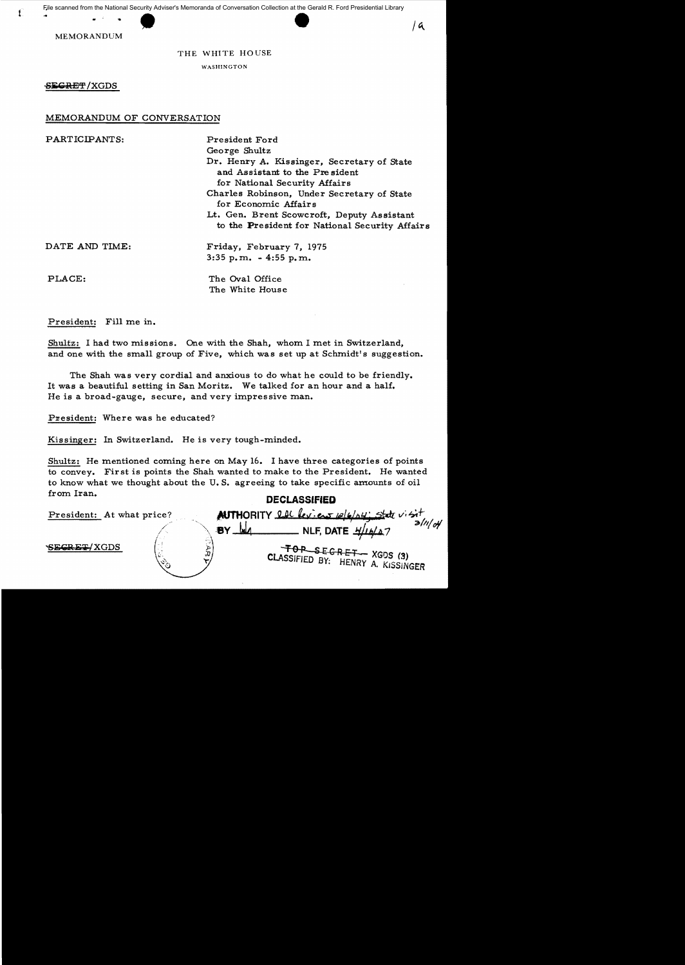MEMORANDUM

# THE WHITE HOUSE

WASHINGTON

SEGRET/XGDS

# MEMORANDUM OF CONVERSATION

| PARTICIPANTS:  | President Ford                                                                                                |
|----------------|---------------------------------------------------------------------------------------------------------------|
|                | George Shultz                                                                                                 |
|                | Dr. Henry A. Kissinger, Secretary of State<br>and Assistant to the President<br>for National Security Affairs |
|                | Charles Robinson, Under Secretary of State<br>for Economic Affairs                                            |
|                | Lt. Gen. Brent Scowcroft, Deputy Assistant<br>to the President for National Security Affairs                  |
| DATE AND TIME: | Friday, February 7, 1975                                                                                      |
|                | $3:35$ p.m. $-4:55$ p.m.                                                                                      |
| PLACE:         | The Oval Office<br>The White House                                                                            |

President: Fill me in.

| Shultz: I had two missions. One with the Shah, whom I met in Switzerland,<br>and one with the small group of Five, which was set up at Schmidt's suggestion.                                                                                       |  |  |
|----------------------------------------------------------------------------------------------------------------------------------------------------------------------------------------------------------------------------------------------------|--|--|
| The Shah was very cordial and anxious to do what he could to be friendly.<br>It was a beautiful setting in San Moritz. We talked for an hour and a half.<br>He is a broad-gauge, secure, and very impressive man.                                  |  |  |
| President: Where was he educated?                                                                                                                                                                                                                  |  |  |
| Kissinger: In Switzerland. He is very tough-minded.                                                                                                                                                                                                |  |  |
| Shultz: He mentioned coming here on May 16. I have three categories of points<br>to convey. First is points the Shah wanted to make to the President. He wanted<br>to know what we thought about the U.S. agreeing to take specific amounts of oil |  |  |
| from Iran.<br><b>DECLASSIFIED</b>                                                                                                                                                                                                                  |  |  |
| <b>AUTHORITY</b> let leviens release; state visit<br>President: At what price?<br>$3/$ l $/$ o4                                                                                                                                                    |  |  |
| $BY$ $M$<br><b>ECRET/XGDS</b><br>$\tau$ OR SEGRET - XGDS (3)<br>CLASSIFIED BY: HENRY A. KISSINGER                                                                                                                                                  |  |  |
|                                                                                                                                                                                                                                                    |  |  |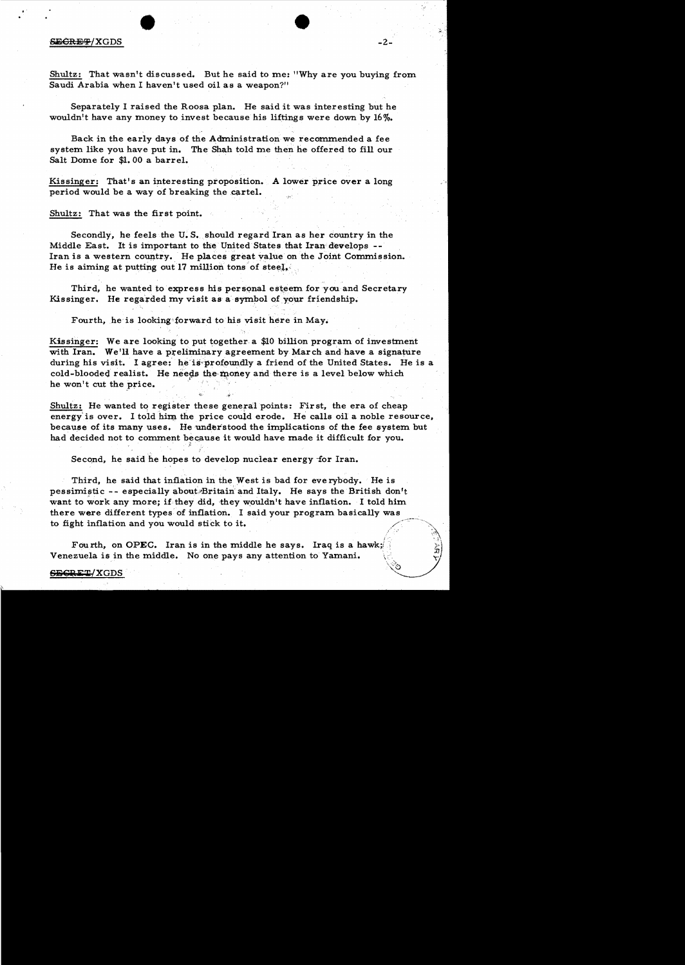## SE<del>CRET</del>/XGDS

..

Shultz: That wasn't discussed. But he said to me: "Why are you buying from Saudi Arabia when I haven't used oil as a weapon?"

-2

 $\mathcal{L}$ 

Separately I raised the Roosa plan. He said it was interesting but he wouldn't have any money to invest because his liftings were down by  $16\%$ .

Back in the early days of the Administration we recommended a fee system like you have put in. The Shah told me then he offered to fill our Salt Dome for \$1.00 a barrel.

Kissinger: That's an interesting proposition. A lower price over a long period would be a way of breaking the cartel.

Shultz: That was the first point.

**•** 

Secondly, he feels the U. S. should regard Iran as her country in the Middle East. It is important to the United States that Iran develops - Iran is a western country. He places great value on the Joint Commission. He is aiming at putting out 17 million tons of steel.

Third, he wanted to express his personal esteem for you and Secretary Kissinger. He regarded my visit as a symbol of your friendship.

Fourth, he is looking forward to his visit here in May.

Kissinger: We are looking to put together a  $$10$  billion program of investment with Iran. We'll have a preliminary agreement by March and have a signature during his visit. I agree: he is profoundly a friend of the United States. He is a cold-blooded realist. He needs the money and there is a level below which he won't cut the price. cold-blooded realist. He needs the money and there is a level below which

Shultz: He wanted to register these general points: First, the era of cheap energy is over. I told him the price could erode. He calls oil a noble resource, because of its many uses. He understood the implications of the fee system but had decided not to comment because it would have made it difficult for you.

Second, he said he hopes to develop nuclear energy for Iran.

Third, he said that inflation in the West is bad for everybody. He is pessimistic -- especially about Britain and Italy. He says the British don't want to work any more; if they did, they wouldn't have inflation. I told him there were different types of inflation. I said your program basically was -,----~.'."-. to fight inflation and you would stick to it. hawk;<br>|<br>|<br>|

Fourth, on OPEC. Iran is in the middle he says. Iraq is a hawk; Venezuela is in the middle. No one pays any attention to Yamani.

#### SECRET/XGDS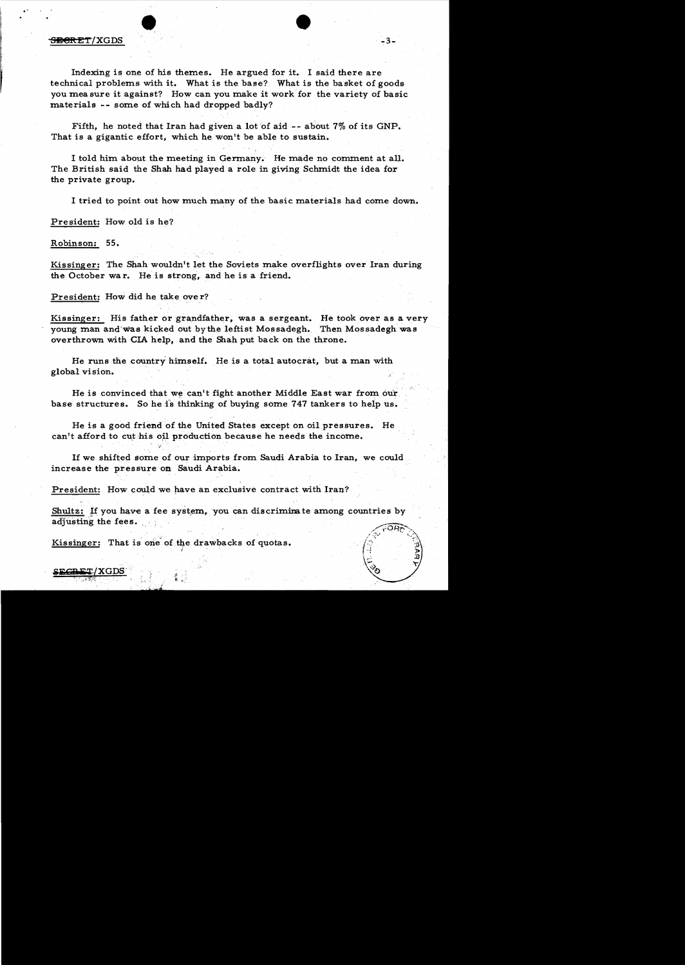## $\overline{\text{S}}$  because  $\overline{\text{S}}$  . The set of  $\overline{\text{S}}$  is the set of  $\overline{\text{S}}$  . Set of  $\overline{\text{S}}$  is the set of  $\overline{\text{S}}$  is the set of  $\overline{\text{S}}$  is the set of  $\overline{\text{S}}$  is the set of  $\overline{\text{S}}$  is the set of  $\overline{\text{S$

Indexing is one of his themes. He argued for it. I said there are technical problems with it. What is the base? What is the basket of goods you mea sure it against? How can you make it work for the variety of basic materials -- some of which had dropped badly?

Fifth, he noted that Iran had given a lot of aid  $-$ - about 7% of its GNP. That is a gigantic effort, which he won't be able to sustain.

I told him about the meeting in Germany. He made no comment at all. The British said the Shah had played a role in giving Schmidt the idea for the private group.

I tried to point out how much many of the basic materials had come down.

President: How old is he?

Robinson: 55.

 $\textcolor{red}{\mathbf{c}\mathbf{n}\mathbf{r}\mathbf{r}}$ /XGD

Kissinger: The Shah wouldn't let the Soviets make overflights over Iran during the October wa r. He is strong, and he is a friend.

President: How did he take ove r?

Kissinger: His father or grandfather, was a sergeant. He took over as a very young man and was kicked out by the leftist Mossadegh. Then Mossadegh was overthrown with CIA help, and the Shah put back on the throne.

He runs the country himself. He is a total autocrat, but a man with global vision.

He is convinced that we can't fight another Middle East war from our. base structures. So he is thinking of buying some 747 tankers to help us.

He is a good friend of the United States except on oil pressures. He can't afford to cut his oil production because he needs the income.

If we shifted some of our imports from Saudi Arabia to Iran, we could increase the pressure on Saudi Arabia.

President: How could we have an exclusive contract with Iran?

Shultz: If you have a fee system, you can discriminate among countries by adjusting the fees.

Kissinger: That is one of the drawbacks of quotas.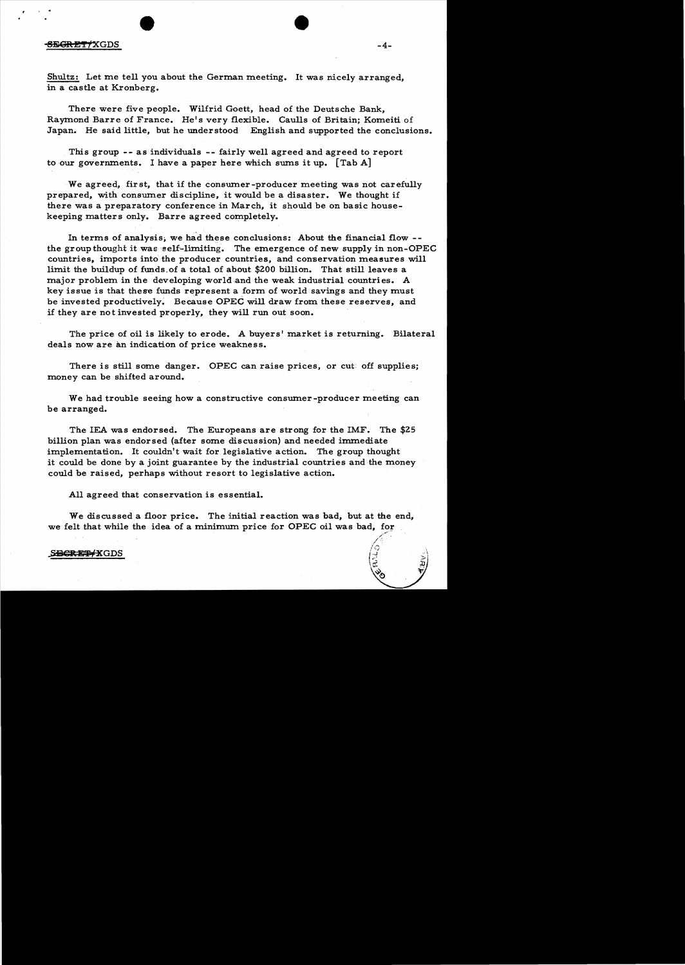### $\overline{\text{SEGRET}/\text{XGDS}}$  -4-

Shultz: Let me tell you about the German meeting. It was nicely arranged, in a castle at Kronberg.

There were five people. Wilfrid Goett, head of the Deutsche Bank, Raymond Barre of France. He's very flexible. Caulls of Britain; Komeiti of Japan. He said little, but he understood English and supported the conclusions.

This group -- as individuals -- fairly well agreed and agreed to report to our governments. I have a paper here which sums it up.  $\lceil \text{Tab } A \rceil$ 

We agreed, first, that if the consumer-producer meeting was not carefully prepared, with consumer discipline, it would be a disaster. We thought if there was a preparatory conference in March, it should be on basic housekeeping matters only. Barre agreed completely.

In terms of analysis, we had these conclusions: About the financial flow  $-$ the group thought it was self-limiting. The emergence of new supply in non-OPEC countries, imports into the producer countries, and conservation measures will limit the buildup of funds. of a total of about \$200 billion. That still leaves a major problem in the developing world and the weak industrial countries. A key issue is that these funds represent a form of world savings and they must be invested productively; Because OPEC will draw from these reserves, and if they are not invested properly, they will run out soon.

The price of oil is likely to erode. A buyers' market is returning. Bilateral deals now are an indication of price weakness.

There is still some danger. OPEC can raise prices, or cut off supplies; money can be shifted around.

We had trouble seeing how a constructive consumer-producer meeting can be arranged.

The lEA was endorsed. The Europeans are strong for the IMF. The \$25 billion plan was endorsed (after some discussion) and needed immediate implementation. It couldn't wait for legislative action. The group thought it could be done by a joint guarantee by the industrial countries and the money could be raised, perhaps without resort to legislative action.

All agreed that conservation is essential.

We discussed a floor price. The initial reaction was bad, but at the end, we felt that while the idea of a minimum price for OPEC oil was bad, for

SBGREP XGDS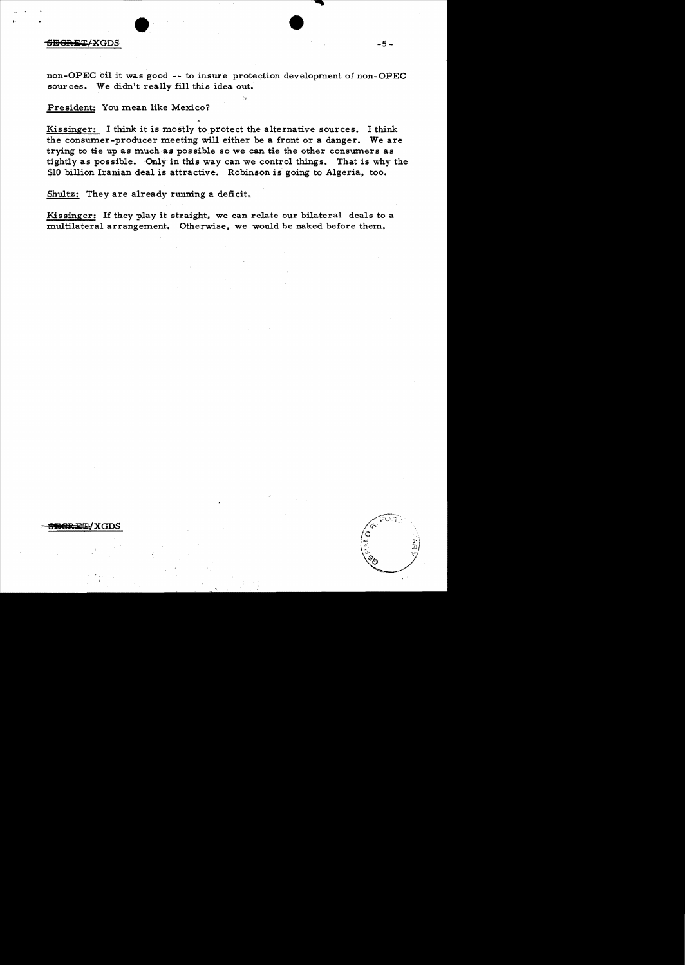### $-5-\epsilon$  -5:  $-5-\epsilon$

non-OPEC oil it was good -- to insure protection development of non-OPEC sources. We didn't really fill this idea out.

President: You mean like Mexico?

Kissinger: I think it is mostly to protect the alternative sources. I think the consumer-producer meeting will either be a front or a danger. We are trying to tie up as much as possible so we can tie the other consumers as tightly as possible. Only in this way can we control things. That is why the \$10 billion Iranian deal is attractive. Robinson is going to Algeria, too.

Shultz: They are already running a deficit.

Kissinger: If they play it straight, we can relate our bilateral deals to a multilateral arrangement. Otherwise, we would be naked before them.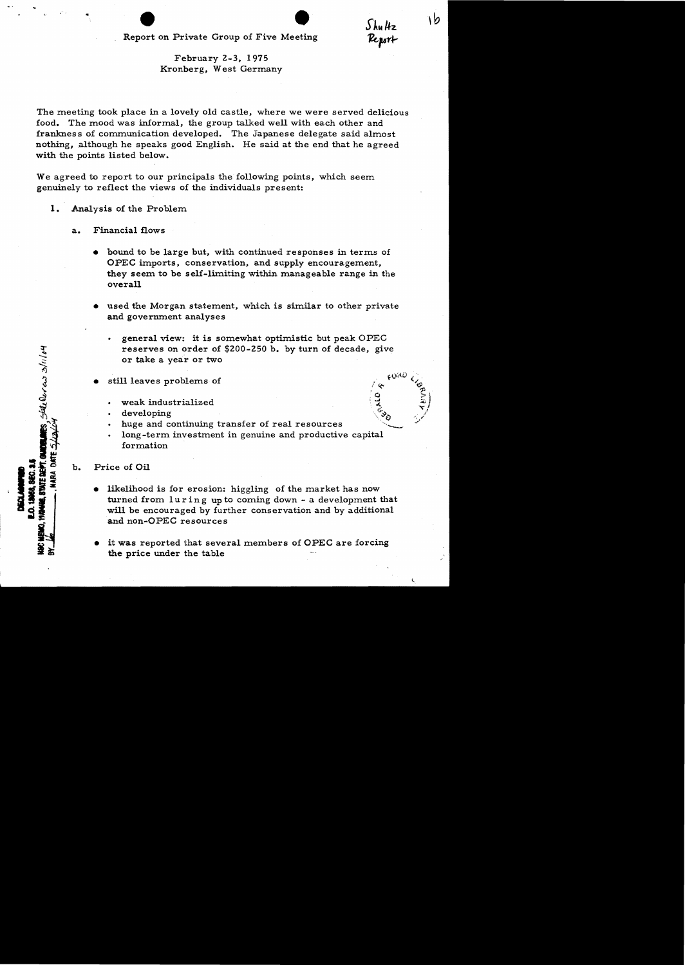# February 2-3, 1975 Kronberg, West Germany

The meeting took place in a lovely old castle, where we were served delicious food. The mood was informal, the group talked well with each other and frankness of communication developed. The Japanese delegate said almost nothing, although he speaks good English. He said at the end that he agreed with the points listed below.

We agreed to report to our principals the following points, which seem genuinely to reflect the views of the individuals present:

**1.** Analysis of the Problem

..

- a. Financial flows
	- bound to be large but, with continued responses in terms of OPEC imports, conservation, and supply encouragement, they seem to be self-limiting within manageable range in the overall
	- used the Morgan statement, which is similar to other private and government analyses
		- general view: it is somewhat optimistic but peak OPEC reserves on order of \$200-250 b. by turn of decade, give or take a year or two

 $\frac{1}{2}$ 

۱b

) hu Hz Report

- still leaves problems of
	- weak industrialized
	- developing
	- huge and continuing transfer of real resources
	- long-term investment in genuine and productive capital formation
- b. Price of Oil

128. Steller as 3/11/04

- likelihood is for erosion: higgling of the market has now turned from  $luring up to coming down - a development that$ will be encouraged by further conservation and by additional and non-OPEC resources
- it was reported that several members of OPEC are forcing the price under the table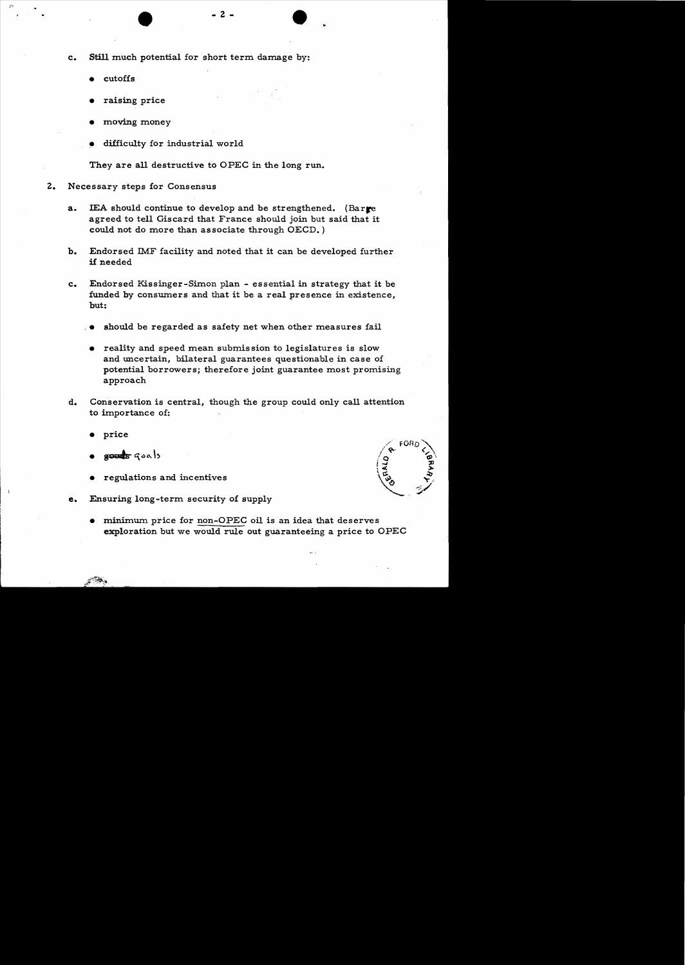c. Still much potential for short term damage by:

- cutoffs
- raising price
- moving money
- difficulty for industrial world

They are all destructive to OPEC in the long run.

- Z. Necessary steps for Consensus
	- a. IEA should continue to develop and be strengthened. (Barre agreed to tell Giscard that France should join but said that it could not do more than associate through OECD.)
	- b. Endorsed IMF facility and noted that it can be developed further if needed
	- c. Endorsed Kissinger-Simon plan essential in strategy that it be funded by consumers and that it be a real presence in existence, but:
		- should be regarded as safety net when other measures fail
		- reality and speed mean submission to legislatures is slow and uncertain, bilateral guarantees questionable in case of potential borrowers; therefore joint guarantee most promising approach
	- d. Conservation is central, though the group could only call attention to importance of:
		- price
		- $g$ outs  $q$ oals
		- regulations and incentives
	- e. Ensuring long-term security of supply
		- minimum price for non-OPEC oil is an idea that deserves exploration but we would rule out guaranteeing a price to OPEC

e<sup>rit</sup>ika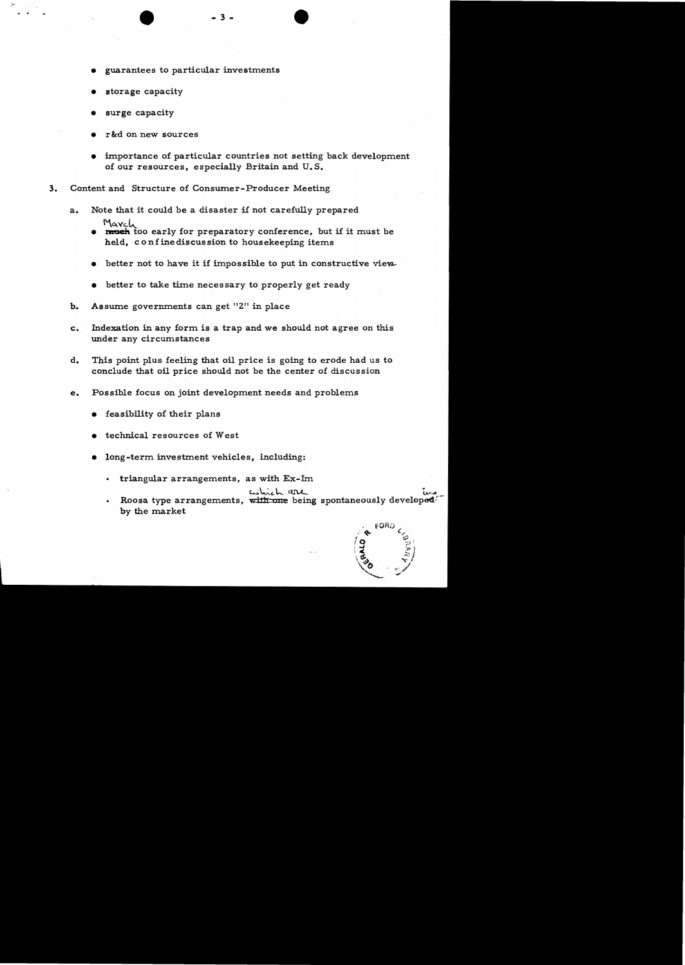- guarantees to particular investments
- storage capacity
- surge capacity

 $\epsilon$ 

- r&d on new sources
- importance of particular countries not setting back development of our resources, especially Britain and U. S.
- 3. Content and Structure of Consumer-Producer Meeting
	- a. Note that it could be a disaster if not carefully prepared March
		- **INTERNATE TO EXAMPLE 1999 INTERNATE TO EXAMPLE 1 interest to early for preparatory conference, but if it must be** held, co nfine discus sion to housekeeping items
		- better not to have it if impossible to put in constructive view.
		- better to take time necessary to properly get ready
	- b. Assume governments can get "2" in place
	- c. Indexation in any form is a trap and we should not agree on this under any circumstances
	- d. This point plus feeling that oil price is going to erode had us to conclude that oil price should not be the center of discussion
	- e. Possible focus on joint development needs and problems
		- feasibility of their plans
		- $\bullet$  technical resources of West
		- long-term investment vehicles, including:
			- triangular arrangements, as with Ex-Im.

c.shich are

 $_{\rm F}$ or $\omega$ 

• Roosa type arrangements, with one being spontaneously developed<sup>2</sup> by the market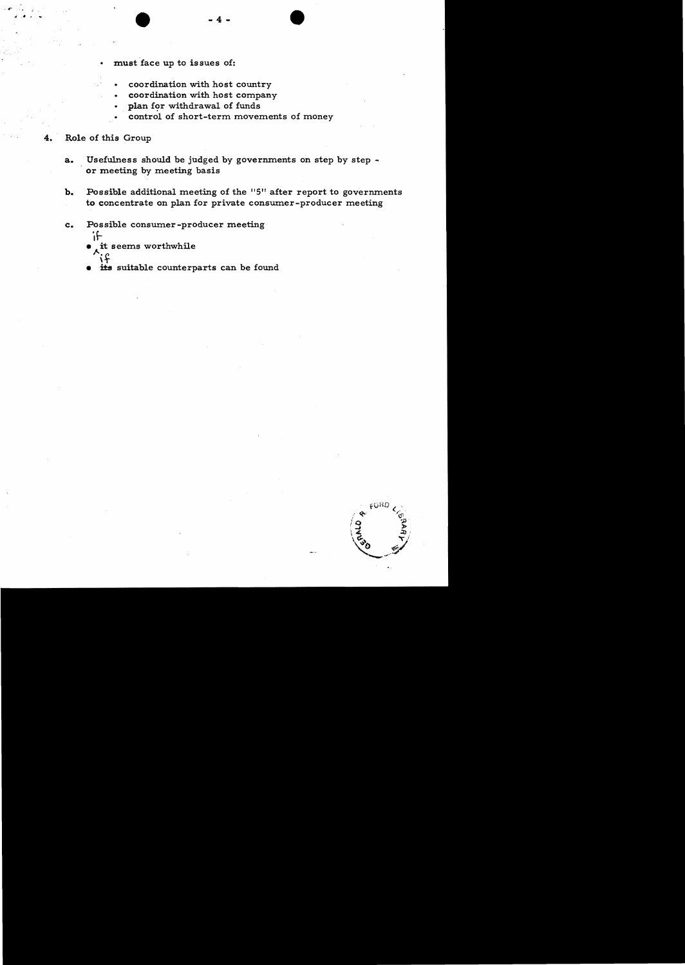- must face up to issues of:
	- coordination with host country
	- coordination with host company
	- plan for withdrawal of funds
	- control of short-term movements of money

# Role of this Group

- a. Usefulness should be judged by governments on step by step or meeting by meeting basis
- b. Possible additional meeting of the "5" after report to governments to concentrate on plan for private consumer-producer meeting
- c. Possible consumer-producer meeting
	- 'If it seems worthwhile it
	- its suitable counterparts can be found

 $6080$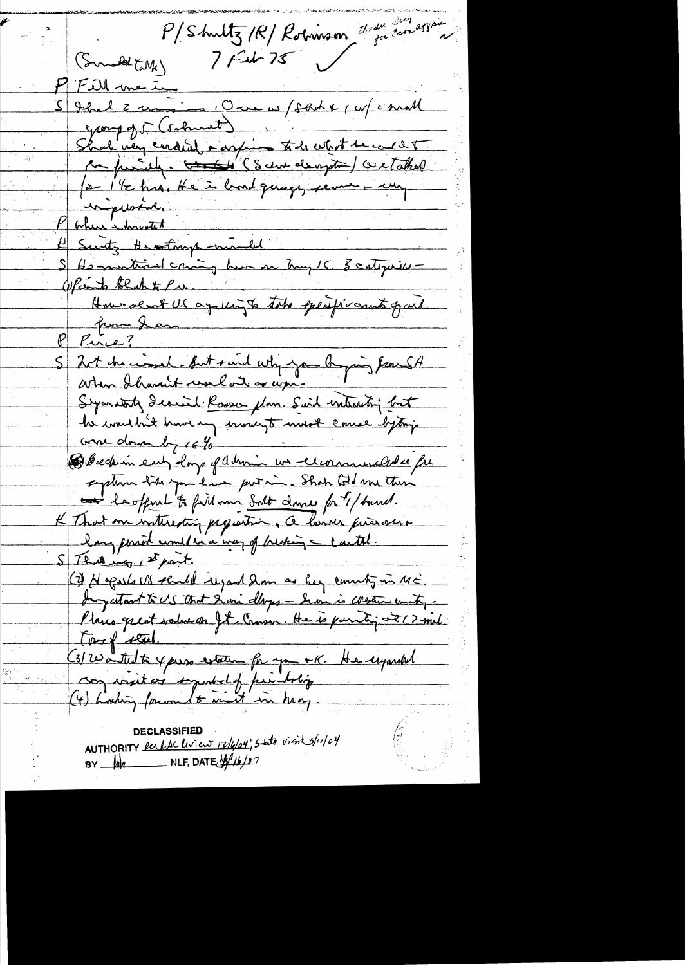P/Shuttz/R/ Robinson That can assain  $7 + 267$ (Somald Call P Fill me in<br>S Jhal 2 min : One w/ fact + 1 w/ c mall<br>group of S (schutt) , + 1. 1. t de cul 2 T Shal very cerdial carpine to de vent le cours toutes Where have tet de la monde de la monde de la monde de la monde de la monde de la monde de la monde de la monde Where - howartet He montived criming have on hug /6 3 categories -(upconto black to Pres. How dent US aquingto take specificants gail pour Jan Pire? S 201 du consider But said why you by going from SA Symathy Icarried Rosson plum. Said interesting but la considéré huire en service touse de la poise Bbcchin ent dans flumin un cummulation explice the you have portion. Show told me there Le offert to fillom Solt dans fat / burnel. lang period unitéra vous of braking a contre. S That was st part. (2) He gests US sended regard 2m as her county in ME. Ingestow to US that I am dlops - Sem is Western country. Places great value on It Coussi He is parti 08/2 mil tough setted. (3) Wanted to yours extrem for you ok. He upondel AUTHORITY Res RAC Livien 12/6/04, State visit 3/11/04

BY  $\mu$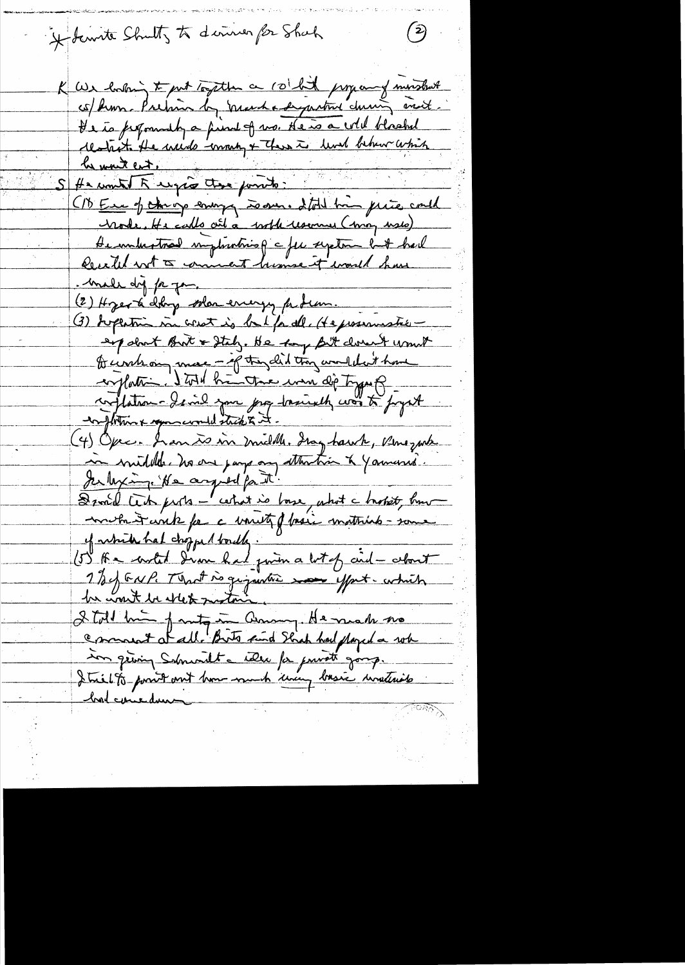Holenste Shutty to deriver for Shack

K We having to put together a rolled propony months co/ hum. Pretion by prescha dynative change and He is ferformedly a find of no. He is a will blooked restait. He weide comment aux ind behave which (1) Europ the op enough to over a told him price could Mode, He calls art à with reserve (may uses) Demohastral implication of a few septem but had Decetel wit to comment humse it would have . male dy fr fame (2) Hyer & doing when energy perfections. (3) Supertin in verst is bet for de (te presencestre expolant But & Stelz. He top fit down't want to circle on more - of they did try wouldn't have enplation. I tout breather une dip type of conflations devid your prop trained was to pryst (4) Opec. In an is in middle. Ing hawk, King wh in middle. No one pays any attention & Yamuses. Jerlexing. We argued for it! Droil Cent piris - certait is losse, what a broket, human montant court for a variety fasic mathias - some of white had chopped bouldy. (5) A - artit d'un hat juin a let of aid - about 1 % of East That is gigantie mor yout- which I toll him fanty in annung. He made no Comment d'all. Bits suid Strah had played a robe<br>son griving Schmoidt a rober for private gang.<br>It trial to point out hom much uner basic unateriale hord comedums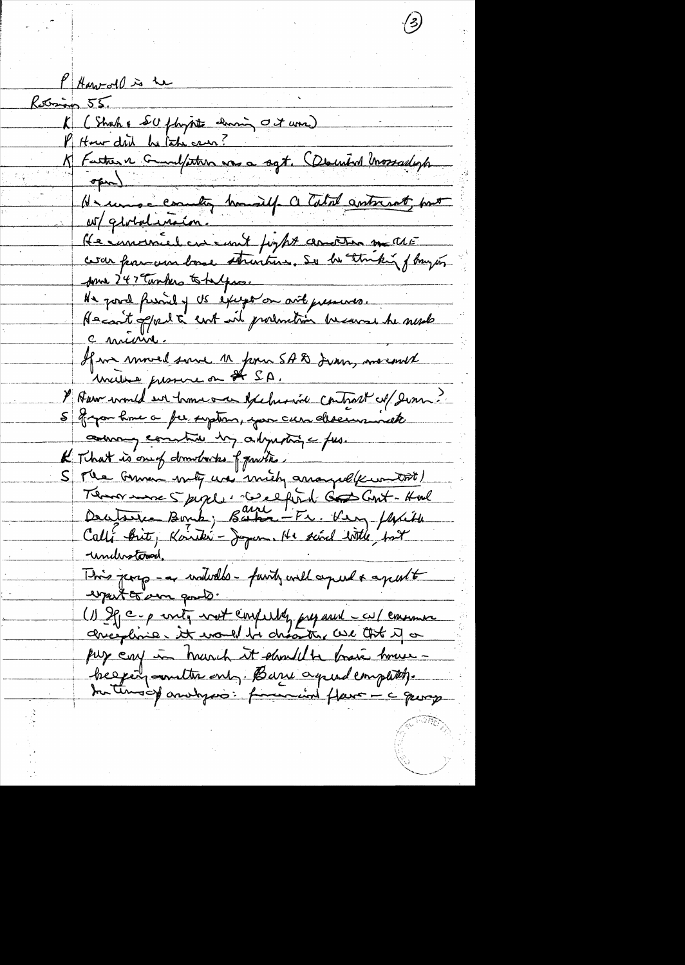P Harvard is the Retrieus 55. K (Shah & SU floppte damin Oct une) K Facture Grandfortun vos a sqt. (December Unossaderforment ar/globalension. He immerciel en emit fight assorter matté some 247 Tumbers to helps. He pour fusion of us except on ant presences.<br>Hacant oppert a cent with production because he surele c mérine. If in moved some 11 pour 5A & June, merourd Y Auw would en trouve en exclusive contrast et son common constru das adjustinge fus. K That is one of domitories of practices S Me German mily was mich arranged ( wont ) Temor more 5 pigel : De ceptent des Cont-Hours<br>Decetarie Bonk; Barba - Fr. Ker / With understowed, This page - a widedles - funity will agreed a apertit want to sure good. (1) If c = p write work confulty prepared = cu/ commence pur car in hunch it should be brain house beggeing woultre only. Barre agreed completely. the tension analyses : forwarding flave - c quoy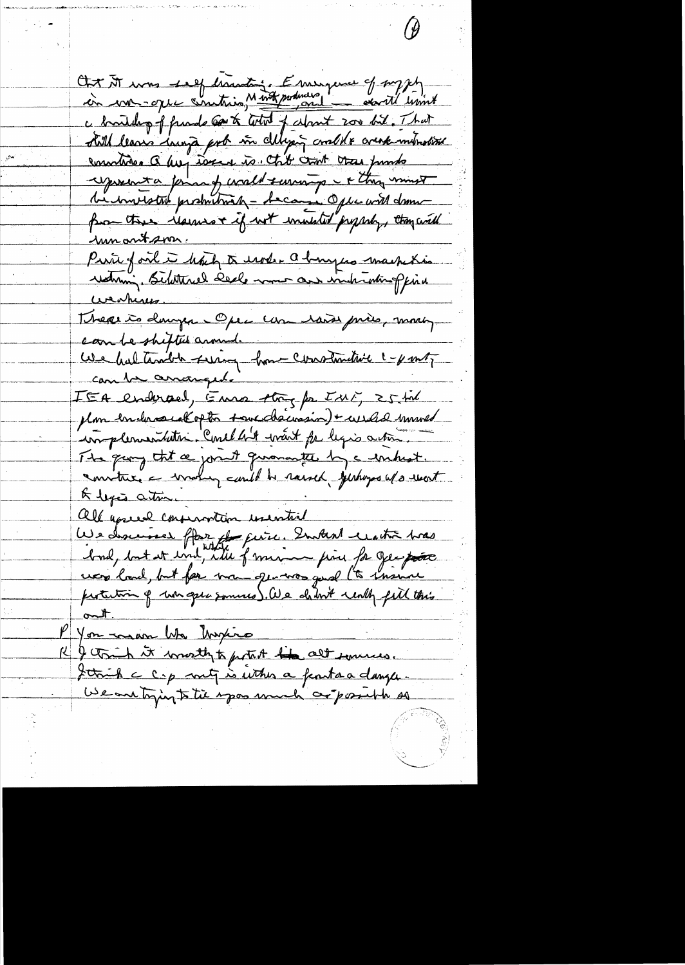Chr M was self tranting. Enseigne of myself c broulding of friends content of colorent 200 bil. That still leaves image pot in clipping could a create introduce countries Q hui toxe to chit cant tras punto respondent a formand would surving - + they must bi invistré produition - Accourse Opte with dome-<br>from these Marines + if with installed propreh, thoughted <u>mnantson.</u> Prince of ont in how to use a banque machetie weakness. Thearts danger Open un raise près, mont can be shifted around We had traible suring home constantive 1- ponty can be arranged. IEA endersed, Enna thoy for IMF, 25 til plan endersuckopte toucdacision) + weeks maned implementation. Concl 44 want par legio action. The gay that a joint guarantee by a unhist. conviture a wroting autil be raised perhaps up went A lega ation all aprece conservation useration We descense flor de peixe. Embert centre tras had, but it und the famine point for Jeepose protection of un open sommes). We chilove unly fill this You man Was Myrico I think it worth to pertet the alt sources. Jetrih c c.p mit is inthes a feast a danger.<br>We are trying to the spoo much conformit he